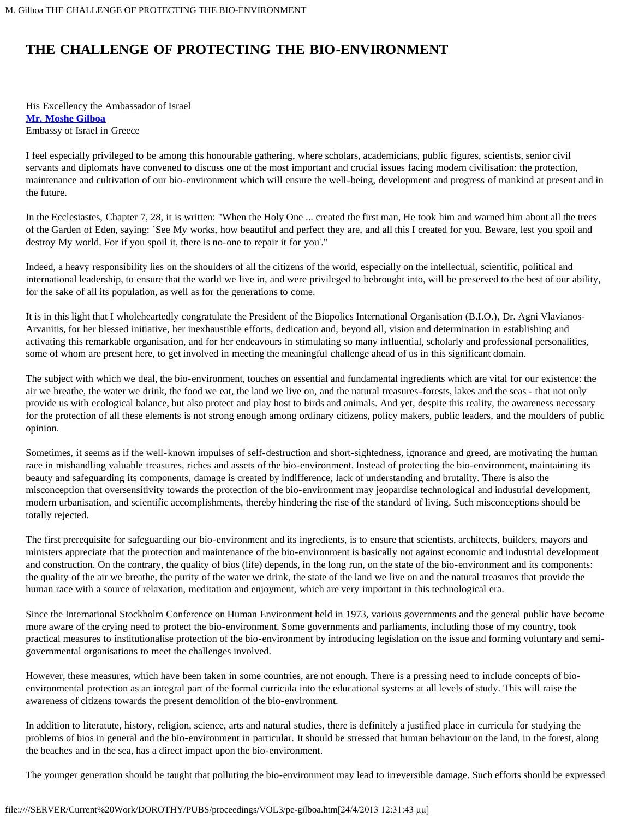## **THE CHALLENGE OF PROTECTING THE BIO-ENVIRONMENT**

His Excellency the Ambassador of Israel **[Mr. Moshe Gilboa](#page-2-0)** Embassy of Israel in Greece

I feel especially privileged to be among this honourable gathering, where scholars, academicians, public figures, scientists, senior civil servants and diplomats have convened to discuss one of the most important and crucial issues facing modern civilisation: the protection, maintenance and cultivation of our bio-environment which will ensure the well-being, development and progress of mankind at present and in the future.

In the Ecclesiastes, Chapter 7, 28, it is written: "When the Holy One ... created the first man, He took him and warned him about all the trees of the Garden of Eden, saying: `See My works, how beautiful and perfect they are, and all this I created for you. Beware, lest you spoil and destroy My world. For if you spoil it, there is no-one to repair it for you'."

Indeed, a heavy responsibility lies on the shoulders of all the citizens of the world, especially on the intellectual, scientific, political and international leadership, to ensure that the world we live in, and were privileged to bebrought into, will be preserved to the best of our ability, for the sake of all its population, as well as for the generations to come.

It is in this light that I wholeheartedly congratulate the President of the Biopolics International Organisation (B.I.O.), Dr. Agni Vlavianos-Arvanitis, for her blessed initiative, her inexhaustible efforts, dedication and, beyond all, vision and determination in establishing and activating this remarkable organisation, and for her endeavours in stimulating so many influential, scholarly and professional personalities, some of whom are present here, to get involved in meeting the meaningful challenge ahead of us in this significant domain.

The subject with which we deal, the bio-environment, touches on essential and fundamental ingredients which are vital for our existence: the air we breathe, the water we drink, the food we eat, the land we live on, and the natural treasures-forests, lakes and the seas - that not only provide us with ecological balance, but also protect and play host to birds and animals. And yet, despite this reality, the awareness necessary for the protection of all these elements is not strong enough among ordinary citizens, policy makers, public leaders, and the moulders of public opinion.

Sometimes, it seems as if the well-known impulses of self-destruction and short-sightedness, ignorance and greed, are motivating the human race in mishandling valuable treasures, riches and assets of the bio-environment. Instead of protecting the bio-environment, maintaining its beauty and safeguarding its components, damage is created by indifference, lack of understanding and brutality. There is also the misconception that oversensitivity towards the protection of the bio-environment may jeopardise technological and industrial development, modern urbanisation, and scientific accomplishments, thereby hindering the rise of the standard of living. Such misconceptions should be totally rejected.

The first prerequisite for safeguarding our bio-environment and its ingredients, is to ensure that scientists, architects, builders, mayors and ministers appreciate that the protection and maintenance of the bio-environment is basically not against economic and industrial development and construction. On the contrary, the quality of bios (life) depends, in the long run, on the state of the bio-environment and its components: the quality of the air we breathe, the purity of the water we drink, the state of the land we live on and the natural treasures that provide the human race with a source of relaxation, meditation and enjoyment, which are very important in this technological era.

Since the International Stockholm Conference on Human Environment held in 1973, various governments and the general public have become more aware of the crying need to protect the bio-environment. Some governments and parliaments, including those of my country, took practical measures to institutionalise protection of the bio-environment by introducing legislation on the issue and forming voluntary and semigovernmental organisations to meet the challenges involved.

However, these measures, which have been taken in some countries, are not enough. There is a pressing need to include concepts of bioenvironmental protection as an integral part of the formal curricula into the educational systems at all levels of study. This will raise the awareness of citizens towards the present demolition of the bio-environment.

In addition to literatute, history, religion, science, arts and natural studies, there is definitely a justified place in curricula for studying the problems of bios in general and the bio-environment in particular. It should be stressed that human behaviour on the land, in the forest, along the beaches and in the sea, has a direct impact upon the bio-environment.

The younger generation should be taught that polluting the bio-environment may lead to irreversible damage. Such efforts should be expressed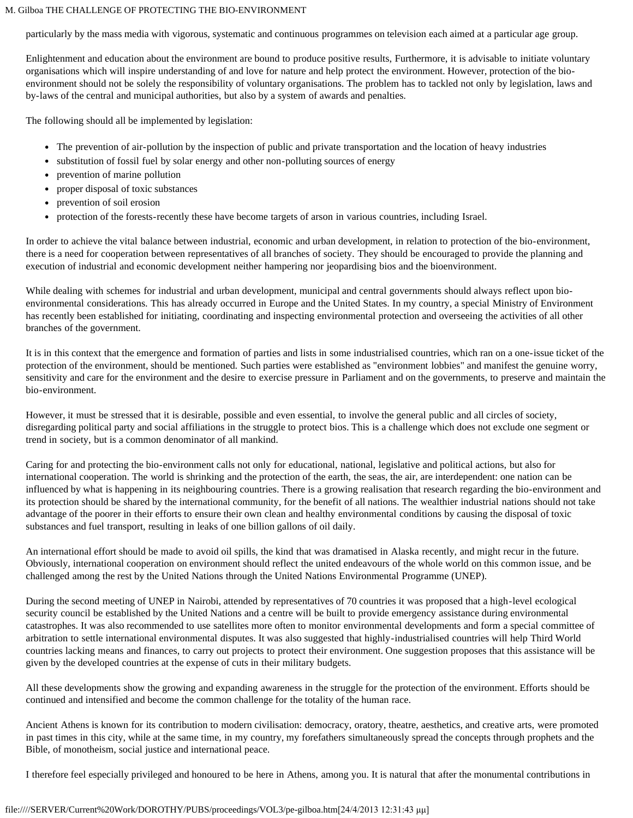## M. Gilboa THE CHALLENGE OF PROTECTING THE BIO-ENVIRONMENT

particularly by the mass media with vigorous, systematic and continuous programmes on television each aimed at a particular age group.

Enlightenment and education about the environment are bound to produce positive results, Furthermore, it is advisable to initiate voluntary organisations which will inspire understanding of and love for nature and help protect the environment. However, protection of the bioenvironment should not be solely the responsibility of voluntary organisations. The problem has to tackled not only by legislation, laws and by-laws of the central and municipal authorities, but also by a system of awards and penalties.

The following should all be implemented by legislation:

- The prevention of air-pollution by the inspection of public and private transportation and the location of heavy industries
- substitution of fossil fuel by solar energy and other non-polluting sources of energy
- prevention of marine pollution
- proper disposal of toxic substances
- prevention of soil erosion
- protection of the forests-recently these have become targets of arson in various countries, including Israel.

In order to achieve the vital balance between industrial, economic and urban development, in relation to protection of the bio-environment, there is a need for cooperation between representatives of all branches of society. They should be encouraged to provide the planning and execution of industrial and economic development neither hampering nor jeopardising bios and the bioenvironment.

While dealing with schemes for industrial and urban development, municipal and central governments should always reflect upon bioenvironmental considerations. This has already occurred in Europe and the United States. In my country, a special Ministry of Environment has recently been established for initiating, coordinating and inspecting environmental protection and overseeing the activities of all other branches of the government.

It is in this context that the emergence and formation of parties and lists in some industrialised countries, which ran on a one-issue ticket of the protection of the environment, should be mentioned. Such parties were established as "environment lobbies" and manifest the genuine worry, sensitivity and care for the environment and the desire to exercise pressure in Parliament and on the governments, to preserve and maintain the bio-environment.

However, it must be stressed that it is desirable, possible and even essential, to involve the general public and all circles of society, disregarding political party and social affiliations in the struggle to protect bios. This is a challenge which does not exclude one segment or trend in society, but is a common denominator of all mankind.

Caring for and protecting the bio-environment calls not only for educational, national, legislative and political actions, but also for international cooperation. The world is shrinking and the protection of the earth, the seas, the air, are interdependent: one nation can be influenced by what is happening in its neighbouring countries. There is a growing realisation that research regarding the bio-environment and its protection should be shared by the international community, for the benefit of all nations. The wealthier industrial nations should not take advantage of the poorer in their efforts to ensure their own clean and healthy environmental conditions by causing the disposal of toxic substances and fuel transport, resulting in leaks of one billion gallons of oil daily.

An international effort should be made to avoid oil spills, the kind that was dramatised in Alaska recently, and might recur in the future. Obviously, international cooperation on environment should reflect the united endeavours of the whole world on this common issue, and be challenged among the rest by the United Nations through the United Nations Environmental Programme (UNEP).

During the second meeting of UNEP in Nairobi, attended by representatives of 70 countries it was proposed that a high-level ecological security council be established by the United Nations and a centre will be built to provide emergency assistance during environmental catastrophes. It was also recommended to use satellites more often to monitor environmental developments and form a special committee of arbitration to settle international environmental disputes. It was also suggested that highly-industrialised countries will help Third World countries lacking means and finances, to carry out projects to protect their environment. One suggestion proposes that this assistance will be given by the developed countries at the expense of cuts in their military budgets.

All these developments show the growing and expanding awareness in the struggle for the protection of the environment. Efforts should be continued and intensified and become the common challenge for the totality of the human race.

Ancient Athens is known for its contribution to modern civilisation: democracy, oratory, theatre, aesthetics, and creative arts, were promoted in past times in this city, while at the same time, in my country, my forefathers simultaneously spread the concepts through prophets and the Bible, of monotheism, social justice and international peace.

I therefore feel especially privileged and honoured to be here in Athens, among you. It is natural that after the monumental contributions in